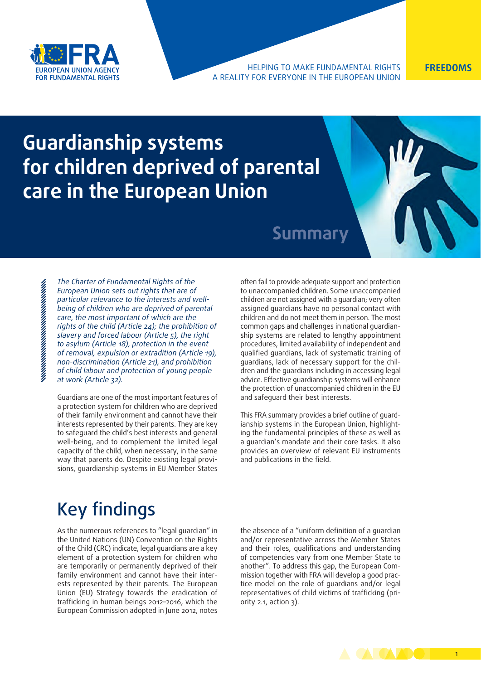

#### HELPING TO MAKE FUNDAMENTAL RIGHTS **FREEDOMS** A REALITY FOR EVERYONE IN THE EUROPEAN UNION

# **Guardianship systems for children deprived of parental care in the European Union**

### **Summary**

*The Charter of Fundamental Rights of the European Union sets out rights that are of particular relevance to the interests and wellbeing of children who are deprived of parental care, the most important of which are the rights of the child (Article 24); the prohibition of slavery and forced labour (Article 5), the right to asylum (Article 18), protection in the event of removal, expulsion or extradition (Article 19), non-discrimination (Article 21), and prohibition of child labour and protection of young people at work (Article 32).*

Guardians are one of the most important features of a protection system for children who are deprived of their family environment and cannot have their interests represented by their parents. They are key to safeguard the child's best interests and general well-being, and to complement the limited legal capacity of the child, when necessary, in the same way that parents do. Despite existing legal provisions, guardianship systems in EU Member States often fail to provide adequate support and protection to unaccompanied children. Some unaccompanied children are not assigned with a guardian; very often assigned guardians have no personal contact with children and do not meet them in person. The most common gaps and challenges in national guardianship systems are related to lengthy appointment procedures, limited availability of independent and qualified guardians, lack of systematic training of guardians, lack of necessary support for the children and the guardians including in accessing legal advice. Effective guardianship systems will enhance the protection of unaccompanied children in the EU and safeguard their best interests.

This FRA summary provides a brief outline of guardianship systems in the European Union, highlighting the fundamental principles of these as well as a guardian's mandate and their core tasks. It also provides an overview of relevant EU instruments and publications in the field.

## Key findings

As the numerous references to "legal guardian" in the United Nations (UN) Convention on the Rights of the Child (CRC) indicate, legal guardians are a key element of a protection system for children who are temporarily or permanently deprived of their family environment and cannot have their interests represented by their parents. The European Union (EU) Strategy towards the eradication of trafficking in human beings 2012–2016, which the European Commission adopted in June 2012, notes the absence of a "uniform definition of a guardian and/or representative across the Member States and their roles, qualifications and understanding of competencies vary from one Member State to another". To address this gap, the European Commission together with FRA will develop a good practice model on the role of guardians and/or legal representatives of child victims of trafficking (priority 2.1, action 3).

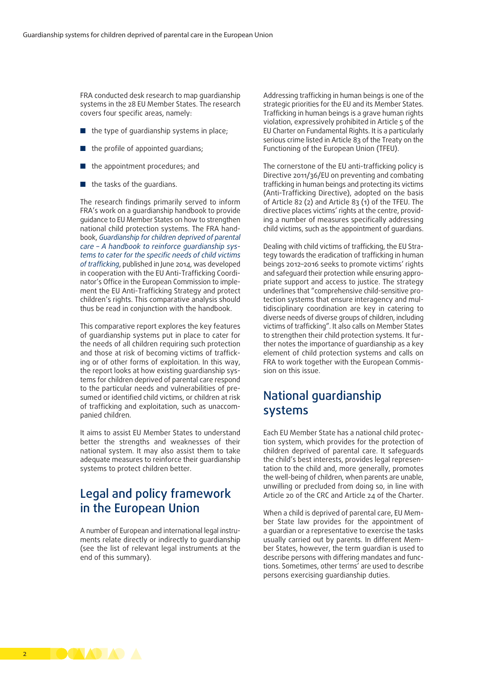FRA conducted desk research to map guardianship systems in the 28 EU Member States. The research covers four specific areas, namely:

- the type of quardianship systems in place;
- the profile of appointed quardians;
- the appointment procedures; and
- the tasks of the quardians.

Τhe research findings primarily served to inform FRA's work on a guardianship handbook to provide guidance to EU Member States on how to strengthen national child protection systems. The FRA handbook, *[Guardianship for children deprived of parental](http://fra.europa.eu/en/publication/2014/guardianship-children-deprived-parental-care-handbook-reinforce-guardianship)  [care – A handbook to reinforce guardianship sys](http://fra.europa.eu/en/publication/2014/guardianship-children-deprived-parental-care-handbook-reinforce-guardianship)[tems to cater for the specific needs of child victims](http://fra.europa.eu/en/publication/2014/guardianship-children-deprived-parental-care-handbook-reinforce-guardianship)  [of trafficking](http://fra.europa.eu/en/publication/2014/guardianship-children-deprived-parental-care-handbook-reinforce-guardianship)*, published in June 2014, was developed in cooperation with the EU Anti-Trafficking Coordinator's Office in the European Commission to implement the EU Anti-Trafficking Strategy and protect children's rights. This comparative analysis should thus be read in conjunction with the handbook.

This comparative report explores the key features of guardianship systems put in place to cater for the needs of all children requiring such protection and those at risk of becoming victims of trafficking or of other forms of exploitation. In this way, the report looks at how existing guardianship systems for children deprived of parental care respond to the particular needs and vulnerabilities of presumed or identified child victims, or children at risk of trafficking and exploitation, such as unaccompanied children.

It aims to assist EU Member States to understand better the strengths and weaknesses of their national system. It may also assist them to take adequate measures to reinforce their guardianship systems to protect children better.

#### Legal and policy framework in the European Union

A number of European and international legal instruments relate directly or indirectly to guardianship (see the list of relevant legal instruments at the end of this summary).

Addressing trafficking in human beings is one of the strategic priorities for the EU and its Member States. Trafficking in human beings is a grave human rights violation, expressively prohibited in Article 5 of the EU Charter on Fundamental Rights. It is a particularly serious crime listed in Article 83 of the Treaty on the Functioning of the European Union (TFEU).

The cornerstone of the EU anti-trafficking policy is Directive 2011/36/EU on preventing and combating trafficking in human beings and protecting its victims (Anti-Trafficking Directive), adopted on the basis of Article 82 (2) and Article 83 (1) of the TFEU. The directive places victims' rights at the centre, providing a number of measures specifically addressing child victims, such as the appointment of guardians.

Dealing with child victims of trafficking, the EU Strategy towards the eradication of trafficking in human beings 2012–2016 seeks to promote victims' rights and safeguard their protection while ensuring appropriate support and access to justice. The strategy underlines that "comprehensive child-sensitive protection systems that ensure interagency and multidisciplinary coordination are key in catering to diverse needs of diverse groups of children, including victims of trafficking". It also calls on Member States to strengthen their child protection systems. It further notes the importance of guardianship as a key element of child protection systems and calls on FRA to work together with the European Commission on this issue.

#### National guardianship systems

Each EU Member State has a national child protection system, which provides for the protection of children deprived of parental care. It safeguards the child's best interests, provides legal representation to the child and, more generally, promotes the well-being of children, when parents are unable, unwilling or precluded from doing so, in line with Article 20 of the CRC and Article 24 of the Charter.

When a child is deprived of parental care, EU Member State law provides for the appointment of a guardian or a representative to exercise the tasks usually carried out by parents. In different Member States, however, the term guardian is used to describe persons with differing mandates and functions. Sometimes, other terms' are used to describe persons exercising guardianship duties.

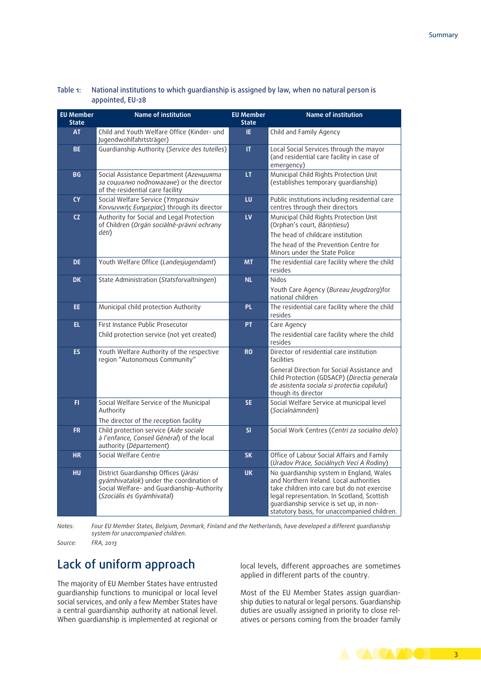| <b>EU Member</b><br><b>State</b> | Name of institution                                                                                                                                           | <b>EU Member</b><br><b>State</b> | Name of institution                                                                                                                                                                                                                                                          |
|----------------------------------|---------------------------------------------------------------------------------------------------------------------------------------------------------------|----------------------------------|------------------------------------------------------------------------------------------------------------------------------------------------------------------------------------------------------------------------------------------------------------------------------|
| <b>AT</b>                        | Child and Youth Welfare Office (Kinder- und<br>Jugendwohlfahrtsträger)                                                                                        | IE.                              | Child and Family Agency                                                                                                                                                                                                                                                      |
| <b>BE</b>                        | Guardianship Authority (Service des tutelles)                                                                                                                 | $\mathbf{H}$                     | Local Social Services through the mayor<br>(and residential care facility in case of<br>emergency)                                                                                                                                                                           |
| <b>BG</b>                        | Social Assistance Department (Агенцията<br>за социално подпомагане) or the director<br>of the residential care facility                                       | LT.                              | Municipal Child Rights Protection Unit<br>(establishes temporary guardianship)                                                                                                                                                                                               |
| <b>CY</b>                        | Social Welfare Service (Υπηρεσιών<br>Κοινωνικής Ευημερίας) through its director                                                                               | LU                               | Public institutions including residential care<br>centres through their directors                                                                                                                                                                                            |
| <b>CZ</b>                        | Authority for Social and Legal Protection<br>of Children (Orgán sociálně-právní ochrany                                                                       | LV                               | Municipal Child Rights Protection Unit<br>(Orphan's court, Bāriņtiesu)                                                                                                                                                                                                       |
|                                  | dětí)                                                                                                                                                         |                                  | The head of childcare institution<br>The head of the Prevention Centre for<br>Minors under the State Police                                                                                                                                                                  |
| <b>DE</b>                        | Youth Welfare Office (Landesjugendamt)                                                                                                                        | <b>MT</b>                        | The residential care facility where the child<br>resides                                                                                                                                                                                                                     |
| <b>DK</b>                        | State Administration (Statsforvaltningen)                                                                                                                     | <b>NL</b>                        | Nidos<br>Youth Care Agency (Bureau Jeugdzorg)for<br>national children                                                                                                                                                                                                        |
| EE.                              | Municipal child protection Authority                                                                                                                          | PL.                              | The residential care facility where the child<br>resides                                                                                                                                                                                                                     |
| EL.                              | First Instance Public Prosecutor                                                                                                                              | PT.                              | Care Agency                                                                                                                                                                                                                                                                  |
|                                  | Child protection service (not yet created)                                                                                                                    |                                  | The residential care facility where the child<br>resides                                                                                                                                                                                                                     |
| ES.                              | Youth Welfare Authority of the respective<br>region "Autonomous Community"                                                                                    | <b>RO</b>                        | Director of residential care institution<br>facilities<br>General Direction for Social Assistance and<br>Child Protection (GDSACP) (Directia generala<br>de asistenta sociala si protectia copilului)<br>though its director                                                 |
| FI.                              | Social Welfare Service of the Municipal<br>Authority<br>The director of the reception facility                                                                | SE.                              | Social Welfare Service at municipal level<br>(Socialnämnden)                                                                                                                                                                                                                 |
| FR.                              | Child protection service (Aide sociale<br>à l'enfance, Conseil Général) of the local<br>authority (Département)                                               | SI                               | Social Work Centres (Centri za socialno delo)                                                                                                                                                                                                                                |
| <b>HR</b>                        | Social Welfare Centre                                                                                                                                         | <b>SK</b>                        | Office of Labour Social Affairs and Family<br>(Úradov Práce, Sociálnych Vecí A Rodiny)                                                                                                                                                                                       |
| HU                               | District Guardianship Offices (járási<br>gyámhivatalok) under the coordination of<br>Social Welfare- and Guardianship-Authority<br>(Szociális és Gyámhivatal) | <b>UK</b>                        | No quardianship system in England, Wales<br>and Northern Ireland. Local authorities<br>take children into care but do not exercise<br>legal representation. In Scotland, Scottish<br>guardianship service is set up, in non-<br>statutory basis, for unaccompanied children. |

#### Table 1: National institutions to which guardianship is assigned by law, when no natural person is appointed, EU-28

*Notes: Four EU Member States, Belgium, Denmark, Finland and the Netherlands, have developed a different guardianship system for unaccompanied children.*

*Source: FRA, 2013*

### Lack of uniform approach

The majority of EU Member States have entrusted guardianship functions to municipal or local level social services, and only a few Member States have a central guardianship authority at national level. When guardianship is implemented at regional or local levels, different approaches are sometimes applied in different parts of the country.

Most of the EU Member States assign guardianship duties to natural or legal persons. Guardianship duties are usually assigned in priority to close relatives or persons coming from the broader family

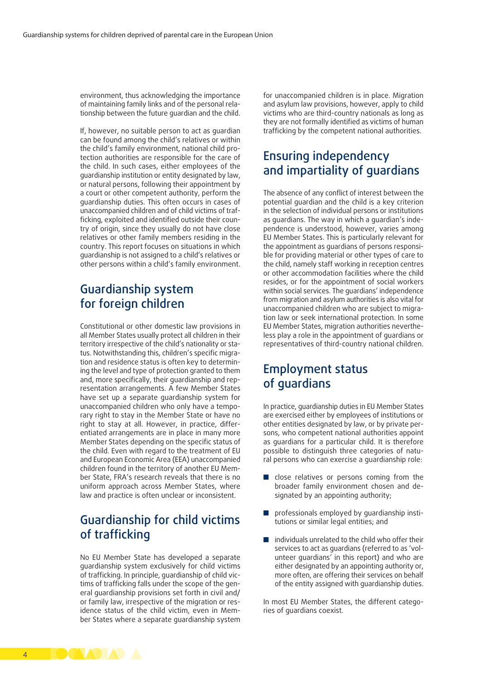environment, thus acknowledging the importance of maintaining family links and of the personal relationship between the future guardian and the child.

If, however, no suitable person to act as guardian can be found among the child's relatives or within the child's family environment, national child protection authorities are responsible for the care of the child. In such cases, either employees of the guardianship institution or entity designated by law, or natural persons, following their appointment by a court or other competent authority, perform the guardianship duties. This often occurs in cases of unaccompanied children and of child victims of trafficking, exploited and identified outside their country of origin, since they usually do not have close relatives or other family members residing in the country. This report focuses on situations in which guardianship is not assigned to a child's relatives or other persons within a child's family environment.

#### Guardianship system for foreign children

Constitutional or other domestic law provisions in all Member States usually protect all children in their territory irrespective of the child's nationality or status. Notwithstanding this, children's specific migration and residence status is often key to determining the level and type of protection granted to them and, more specifically, their guardianship and representation arrangements. A few Member States have set up a separate guardianship system for unaccompanied children who only have a temporary right to stay in the Member State or have no right to stay at all. However, in practice, differentiated arrangements are in place in many more Member States depending on the specific status of the child. Even with regard to the treatment of EU and European Economic Area (EEA) unaccompanied children found in the territory of another EU Member State, FRA's research reveals that there is no uniform approach across Member States, where law and practice is often unclear or inconsistent.

#### Guardianship for child victims of trafficking

No EU Member State has developed a separate guardianship system exclusively for child victims of trafficking. In principle, guardianship of child victims of trafficking falls under the scope of the general guardianship provisions set forth in civil and/ or family law, irrespective of the migration or residence status of the child victim, even in Member States where a separate guardianship system for unaccompanied children is in place. Migration and asylum law provisions, however, apply to child victims who are third-country nationals as long as they are not formally identified as victims of human trafficking by the competent national authorities.

### Ensuring independency and impartiality of guardians

The absence of any conflict of interest between the potential guardian and the child is a key criterion in the selection of individual persons or institutions as guardians. The way in which a guardian's independence is understood, however, varies among EU Member States. This is particularly relevant for the appointment as guardians of persons responsible for providing material or other types of care to the child, namely staff working in reception centres or other accommodation facilities where the child resides, or for the appointment of social workers within social services. The guardians' independence from migration and asylum authorities is also vital for unaccompanied children who are subject to migration law or seek international protection. In some EU Member States, migration authorities nevertheless play a role in the appointment of guardians or representatives of third-country national children.

#### Employment status of guardians

In practice, guardianship duties in EU Member States are exercised either by employees of institutions or other entities designated by law, or by private persons, who competent national authorities appoint as guardians for a particular child. It is therefore possible to distinguish three categories of natural persons who can exercise a guardianship role:

- close relatives or persons coming from the broader family environment chosen and designated by an appointing authority;
- professionals employed by quardianship institutions or similar legal entities; and
- individuals unrelated to the child who offer their services to act as guardians (referred to as 'volunteer guardians' in this report) and who are either designated by an appointing authority or, more often, are offering their services on behalf of the entity assigned with guardianship duties.

In most EU Member States, the different categories of guardians coexist.

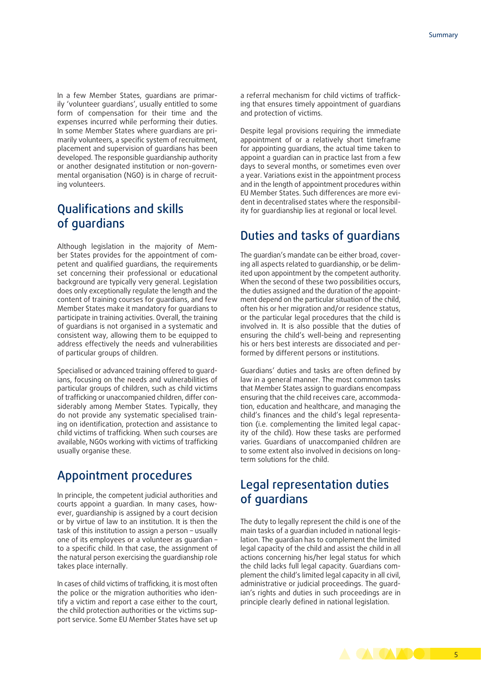In a few Member States, guardians are primarily 'volunteer guardians', usually entitled to some form of compensation for their time and the expenses incurred while performing their duties. In some Member States where guardians are primarily volunteers, a specific system of recruitment, placement and supervision of guardians has been developed. The responsible guardianship authority or another designated institution or non-governmental organisation (NGO) is in charge of recruiting volunteers.

#### Qualifications and skills of guardians

Although legislation in the majority of Member States provides for the appointment of competent and qualified guardians, the requirements set concerning their professional or educational background are typically very general. Legislation does only exceptionally regulate the length and the content of training courses for guardians, and few Member States make it mandatory for guardians to participate in training activities. Overall, the training of guardians is not organised in a systematic and consistent way, allowing them to be equipped to address effectively the needs and vulnerabilities of particular groups of children.

Specialised or advanced training offered to guardians, focusing on the needs and vulnerabilities of particular groups of children, such as child victims of trafficking or unaccompanied children, differ considerably among Member States. Typically, they do not provide any systematic specialised training on identification, protection and assistance to child victims of trafficking. When such courses are available, NGOs working with victims of trafficking usually organise these.

#### Appointment procedures

In principle, the competent judicial authorities and courts appoint a guardian. In many cases, however, guardianship is assigned by a court decision or by virtue of law to an institution. It is then the task of this institution to assign a person – usually one of its employees or a volunteer as guardian – to a specific child. In that case, the assignment of the natural person exercising the guardianship role takes place internally.

In cases of child victims of trafficking, it is most often the police or the migration authorities who identify a victim and report a case either to the court, the child protection authorities or the victims support service. Some EU Member States have set up a referral mechanism for child victims of trafficking that ensures timely appointment of guardians and protection of victims.

Despite legal provisions requiring the immediate appointment of or a relatively short timeframe for appointing guardians, the actual time taken to appoint a guardian can in practice last from a few days to several months, or sometimes even over a year. Variations exist in the appointment process and in the length of appointment procedures within EU Member States. Such differences are more evident in decentralised states where the responsibility for guardianship lies at regional or local level.

#### Duties and tasks of guardians

The guardian's mandate can be either broad, covering all aspects related to guardianship, or be delimited upon appointment by the competent authority. When the second of these two possibilities occurs, the duties assigned and the duration of the appointment depend on the particular situation of the child, often his or her migration and/or residence status, or the particular legal procedures that the child is involved in. It is also possible that the duties of ensuring the child's well-being and representing his or hers best interests are dissociated and performed by different persons or institutions.

Guardians' duties and tasks are often defined by law in a general manner. The most common tasks that Member States assign to guardians encompass ensuring that the child receives care, accommodation, education and healthcare, and managing the child's finances and the child's legal representation (i.e. complementing the limited legal capacity of the child). How these tasks are performed varies. Guardians of unaccompanied children are to some extent also involved in decisions on longterm solutions for the child.

#### Legal representation duties of guardians

The duty to legally represent the child is one of the main tasks of a guardian included in national legislation. The guardian has to complement the limited legal capacity of the child and assist the child in all actions concerning his/her legal status for which the child lacks full legal capacity. Guardians complement the child's limited legal capacity in all civil, administrative or judicial proceedings. The guardian's rights and duties in such proceedings are in principle clearly defined in national legislation.

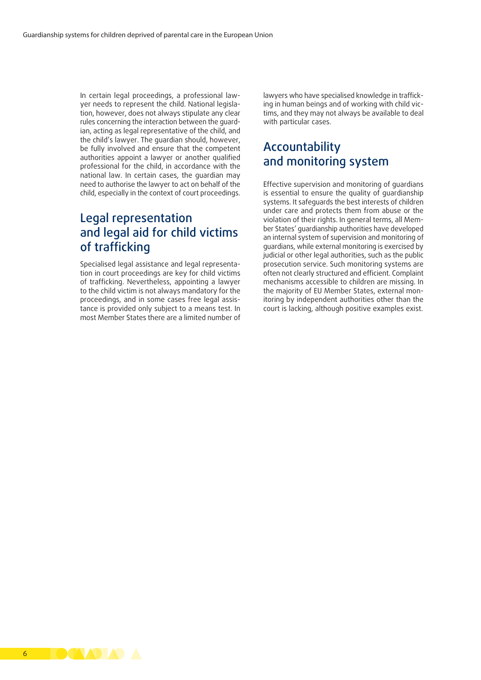In certain legal proceedings, a professional lawyer needs to represent the child. National legislation, however, does not always stipulate any clear rules concerning the interaction between the guardian, acting as legal representative of the child, and the child's lawyer. The guardian should, however, be fully involved and ensure that the competent authorities appoint a lawyer or another qualified professional for the child, in accordance with the national law. In certain cases, the guardian may need to authorise the lawyer to act on behalf of the child, especially in the context of court proceedings.

#### Legal representation and legal aid for child victims of trafficking

Specialised legal assistance and legal representation in court proceedings are key for child victims of trafficking. Nevertheless, appointing a lawyer to the child victim is not always mandatory for the proceedings, and in some cases free legal assistance is provided only subject to a means test. In most Member States there are a limited number of

lawyers who have specialised knowledge in trafficking in human beings and of working with child victims, and they may not always be available to deal with particular cases.

#### Accountability and monitoring system

Effective supervision and monitoring of guardians is essential to ensure the quality of guardianship systems. It safeguards the best interests of children under care and protects them from abuse or the violation of their rights. In general terms, all Member States' guardianship authorities have developed an internal system of supervision and monitoring of guardians, while external monitoring is exercised by judicial or other legal authorities, such as the public prosecution service. Such monitoring systems are often not clearly structured and efficient. Complaint mechanisms accessible to children are missing. In the majority of EU Member States, external monitoring by independent authorities other than the court is lacking, although positive examples exist.

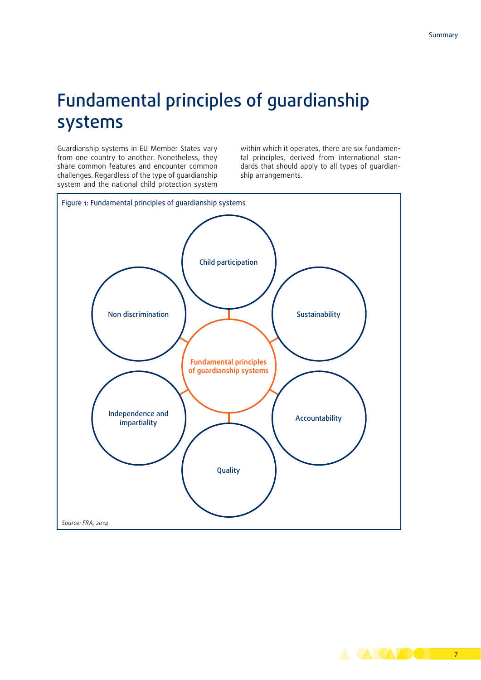## Fundamental principles of guardianship systems

Guardianship systems in EU Member States vary from one country to another. Nonetheless, they share common features and encounter common challenges. Regardless of the type of guardianship system and the national child protection system within which it operates, there are six fundamental principles, derived from international standards that should apply to all types of guardianship arrangements.

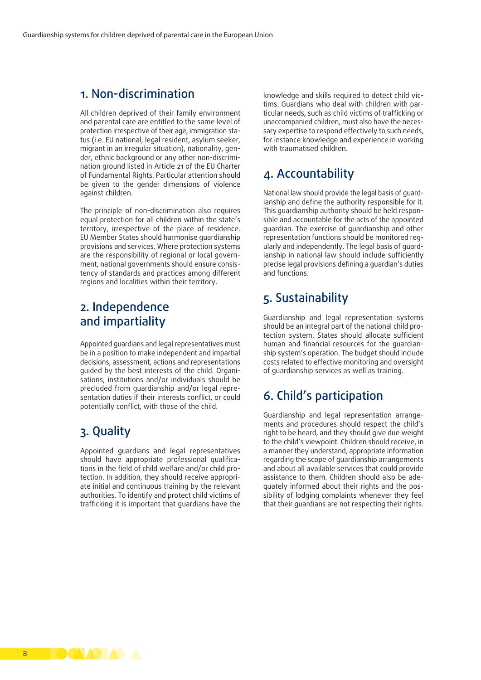#### 1. Non-discrimination

All children deprived of their family environment and parental care are entitled to the same level of protection irrespective of their age, immigration status (i.e. EU national, legal resident, asylum seeker, migrant in an irregular situation), nationality, gender, ethnic background or any other non-discrimination ground listed in Article 21 of the [EU Charter](http://eur-lex.europa.eu/legal-content/en/TXT/?uri=OJ:C:2000:364:TOC)  [of Fundamental Rights.](http://eur-lex.europa.eu/legal-content/en/TXT/?uri=OJ:C:2000:364:TOC) Particular attention should be given to the gender dimensions of violence against children.

The principle of non-discrimination also requires equal protection for all children within the state's territory, irrespective of the place of residence. EU Member States should harmonise guardianship provisions and services. Where protection systems are the responsibility of regional or local government, national governments should ensure consistency of standards and practices among different regions and localities within their territory.

#### 2. Independence and impartiality

Appointed guardians and legal representatives must be in a position to make independent and impartial decisions, assessment, actions and representations guided by the best interests of the child. Organisations, institutions and/or individuals should be precluded from guardianship and/or legal representation duties if their interests conflict, or could potentially conflict, with those of the child.

#### 3. Quality

Appointed guardians and legal representatives should have appropriate professional qualifications in the field of child welfare and/or child protection. In addition, they should receive appropriate initial and continuous training by the relevant authorities. To identify and protect child victims of trafficking it is important that guardians have the

knowledge and skills required to detect child victims. Guardians who deal with children with particular needs, such as child victims of trafficking or unaccompanied children, must also have the necessary expertise to respond effectively to such needs, for instance knowledge and experience in working with traumatised children.

#### 4. Accountability

National law should provide the legal basis of guardianship and define the authority responsible for it. This guardianship authority should be held responsible and accountable for the acts of the appointed guardian. The exercise of guardianship and other representation functions should be monitored regularly and independently. The legal basis of guardianship in national law should include sufficiently precise legal provisions defining a guardian's duties and functions.

#### 5. Sustainability

Guardianship and legal representation systems should be an integral part of the national child protection system. States should allocate sufficient human and financial resources for the guardianship system's operation. The budget should include costs related to effective monitoring and oversight of guardianship services as well as training.

#### 6. Child's participation

Guardianship and legal representation arrangements and procedures should respect the child's right to be heard, and they should give due weight to the child's viewpoint. Children should receive, in a manner they understand, appropriate information regarding the scope of guardianship arrangements and about all available services that could provide assistance to them. Children should also be adequately informed about their rights and the possibility of lodging complaints whenever they feel that their guardians are not respecting their rights.

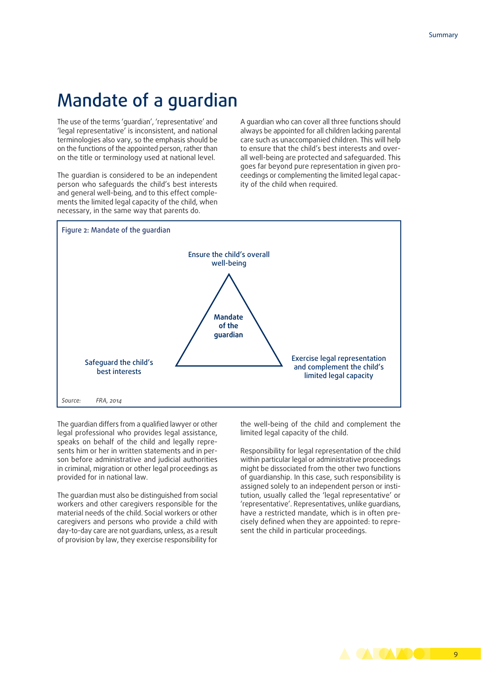### Mandate of a guardian

The use of the terms 'guardian', 'representative' and 'legal representative' is inconsistent, and national terminologies also vary, so the emphasis should be on the functions of the appointed person, rather than on the title or terminology used at national level.

The guardian is considered to be an independent person who safeguards the child's best interests and general well-being, and to this effect complements the limited legal capacity of the child, when necessary, in the same way that parents do.

A guardian who can cover all three functions should always be appointed for all children lacking parental care such as unaccompanied children. This will help to ensure that the child's best interests and overall well-being are protected and safeguarded. This goes far beyond pure representation in given proceedings or complementing the limited legal capacity of the child when required.



The guardian differs from a qualified lawyer or other legal professional who provides legal assistance, speaks on behalf of the child and legally represents him or her in written statements and in person before administrative and judicial authorities in criminal, migration or other legal proceedings as provided for in national law.

The guardian must also be distinguished from social workers and other caregivers responsible for the material needs of the child. Social workers or other caregivers and persons who provide a child with day-to-day care are not guardians, unless, as a result of provision by law, they exercise responsibility for the well-being of the child and complement the limited legal capacity of the child.

Responsibility for legal representation of the child within particular legal or administrative proceedings might be dissociated from the other two functions of guardianship. In this case, such responsibility is assigned solely to an independent person or institution, usually called the 'legal representative' or 'representative'. Representatives, unlike guardians, have a restricted mandate, which is in often precisely defined when they are appointed: to represent the child in particular proceedings.

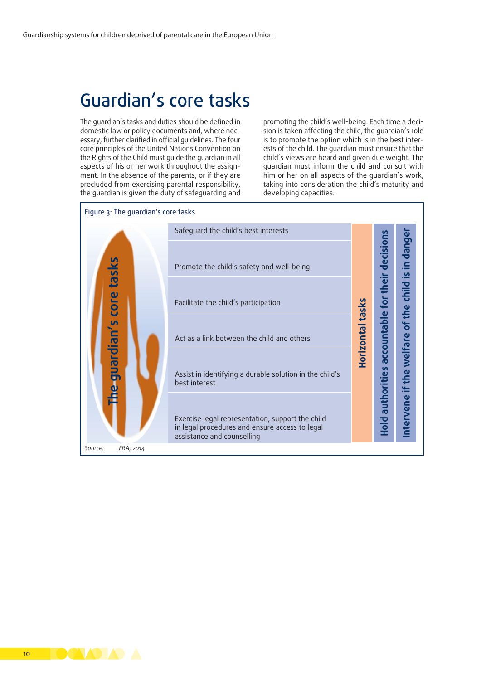### Guardian's core tasks

The guardian's tasks and duties should be defined in domestic law or policy documents and, where necessary, further clarified in official guidelines. The four core principles of the United Nations Convention on the Rights of the Child must guide the guardian in all aspects of his or her work throughout the assignment. In the absence of the parents, or if they are precluded from exercising parental responsibility, the guardian is given the duty of safeguarding and

promoting the child's well-being. Each time a decision is taken affecting the child, the guardian's role is to promote the option which is in the best interests of the child. The guardian must ensure that the child's views are heard and given due weight. The guardian must inform the child and consult with him or her on all aspects of the guardian's work, taking into consideration the child's maturity and developing capacities.



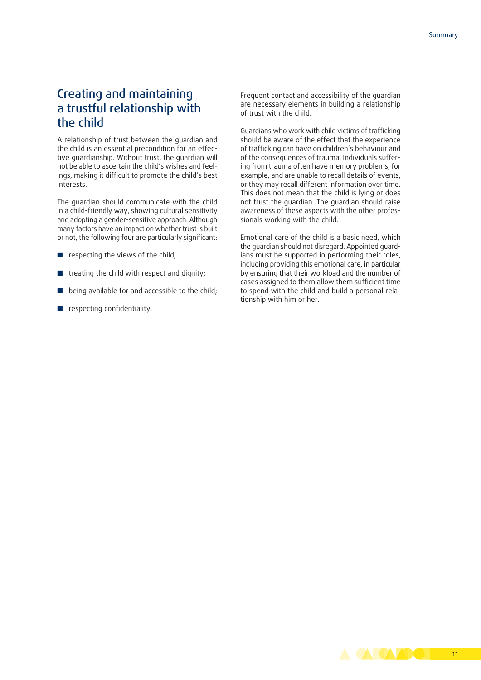#### Creating and maintaining a trustful relationship with the child

A relationship of trust between the guardian and the child is an essential precondition for an effective guardianship. Without trust, the guardian will not be able to ascertain the child's wishes and feelings, making it difficult to promote the child's best interests.

The guardian should communicate with the child in a child-friendly way, showing cultural sensitivity and adopting a gender-sensitive approach. Although many factors have an impact on whether trust is built or not, the following four are particularly significant:

- respecting the views of the child;
- treating the child with respect and dignity;
- being available for and accessible to the child;
- respecting confidentiality.

Frequent contact and accessibility of the guardian are necessary elements in building a relationship of trust with the child.

Guardians who work with child victims of trafficking should be aware of the effect that the experience of trafficking can have on children's behaviour and of the consequences of trauma. Individuals suffering from trauma often have memory problems, for example, and are unable to recall details of events, or they may recall different information over time. This does not mean that the child is lying or does not trust the guardian. The guardian should raise awareness of these aspects with the other professionals working with the child.

Emotional care of the child is a basic need, which the guardian should not disregard. Appointed guardians must be supported in performing their roles, including providing this emotional care, in particular by ensuring that their workload and the number of cases assigned to them allow them sufficient time to spend with the child and build a personal relationship with him or her.

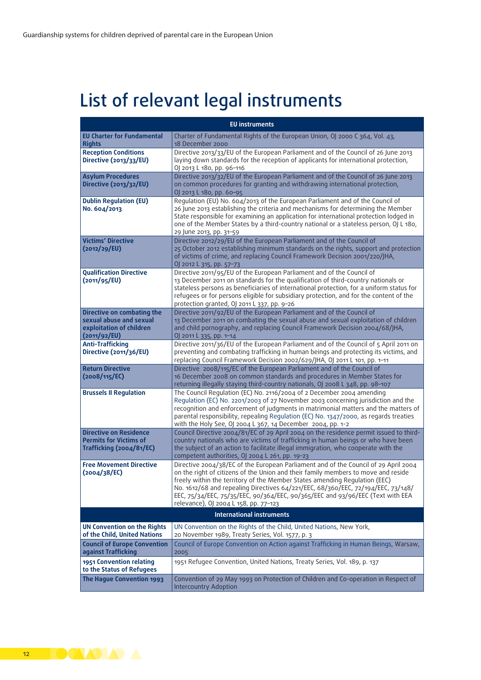# List of relevant legal instruments

| <b>EU</b> instruments                                                                             |                                                                                                                                                                                                                                                                                                                                                                                                                                                                       |  |  |
|---------------------------------------------------------------------------------------------------|-----------------------------------------------------------------------------------------------------------------------------------------------------------------------------------------------------------------------------------------------------------------------------------------------------------------------------------------------------------------------------------------------------------------------------------------------------------------------|--|--|
| <b>EU Charter for Fundamental</b><br><b>Rights</b>                                                | Charter of Fundamental Rights of the European Union, OJ 2000 C 364, Vol. 43,<br>18 December 2000                                                                                                                                                                                                                                                                                                                                                                      |  |  |
| <b>Reception Conditions</b><br>Directive (2013/33/EU)                                             | Directive 2013/33/EU of the European Parliament and of the Council of 26 June 2013<br>laying down standards for the reception of applicants for international protection,<br>0J 2013 L 180, pp. 96-116                                                                                                                                                                                                                                                                |  |  |
| <b>Asylum Procedures</b><br><b>Directive (2013/32/EU)</b>                                         | Directive 2013/32/EU of the European Parliament and of the Council of 26 June 2013<br>on common procedures for granting and withdrawing international protection,<br>OJ 2013 L 180, pp. 60-95                                                                                                                                                                                                                                                                         |  |  |
| <b>Dublin Regulation (EU)</b><br>No. 604/2013                                                     | Regulation (EU) No. 604/2013 of the European Parliament and of the Council of<br>26 June 2013 establishing the criteria and mechanisms for determining the Member<br>State responsible for examining an application for international protection lodged in<br>one of the Member States by a third-country national or a stateless person, OJ L 180,<br>29 June 2013, pp. 31-59                                                                                        |  |  |
| <b>Victims' Directive</b><br>(2012/29/EU)                                                         | Directive 2012/29/EU of the European Parliament and of the Council of<br>25 October 2012 establishing minimum standards on the rights, support and protection<br>of victims of crime, and replacing Council Framework Decision 2001/220/JHA,<br>OJ 2012 L 315, pp. 57-73                                                                                                                                                                                              |  |  |
| <b>Qualification Directive</b><br>(2011/95/EU)                                                    | Directive 2011/95/EU of the European Parliament and of the Council of<br>13 December 2011 on standards for the qualification of third-country nationals or<br>stateless persons as beneficiaries of international protection, for a uniform status for<br>refugees or for persons eligible for subsidiary protection, and for the content of the<br>protection granted, OJ 2011 L 337, pp. 9-26                                                                       |  |  |
| Directive on combating the<br>sexual abuse and sexual<br>exploitation of children<br>(2011/92/EU) | Directive 2011/92/EU of the European Parliament and of the Council of<br>13 December 2011 on combating the sexual abuse and sexual exploitation of children<br>and child pornography, and replacing Council Framework Decision 2004/68/JHA,<br>OJ 2011 L 335, pp. 1-14                                                                                                                                                                                                |  |  |
| Anti-Trafficking<br>Directive (2011/36/EU)                                                        | Directive 2011/36/EU of the European Parliament and of the Council of 5 April 2011 on<br>preventing and combating trafficking in human beings and protecting its victims, and<br>replacing Council Framework Decision 2002/629/JHA, OJ 2011 L 101, pp. 1-11                                                                                                                                                                                                           |  |  |
| <b>Return Directive</b><br>(2008/115/EC)                                                          | Directive 2008/115/EC of the European Parliament and of the Council of<br>16 December 2008 on common standards and procedures in Member States for<br>returning illegally staying third-country nationals, OJ 2008 L 348, pp. 98-107                                                                                                                                                                                                                                  |  |  |
| <b>Brussels II Regulation</b>                                                                     | The Council Regulation (EC) No. 2116/2004 of 2 December 2004 amending<br>Regulation (EC) No. 2201/2003 of 27 November 2003 concerning jurisdiction and the<br>recognition and enforcement of judgments in matrimonial matters and the matters of<br>parental responsibility, repealing Regulation (EC) No. 1347/2000, as regards treaties<br>with the Holy See, OJ 2004 L 367, 14 December 2004, pp. 1-2                                                              |  |  |
| <b>Directive on Residence</b><br><b>Permits for Victims of</b><br>Trafficking (2004/81/EC)        | Council Directive 2004/81/EC of 29 April 2004 on the residence permit issued to third-<br>country nationals who are victims of trafficking in human beings or who have been<br>the subject of an action to facilitate illegal immigration, who cooperate with the<br>competent authorities, OJ 2004 L 261, pp. 19-23                                                                                                                                                  |  |  |
| <b>Free Movement Directive</b><br>(2004/38/EC)                                                    | Directive 2004/38/EC of the European Parliament and of the Council of 29 April 2004<br>on the right of citizens of the Union and their family members to move and reside<br>freely within the territory of the Member States amending Regulation (EEC)<br>No. 1612/68 and repealing Directives 64/221/EEC, 68/360/EEC, 72/194/EEC, 73/148/<br>EEC, 75/34/EEC, 75/35/EEC, 90/364/EEC, 90/365/EEC and 93/96/EEC (Text with EEA<br>relevance), 0J 2004 L 158, pp. 77-123 |  |  |
| <b>International instruments</b>                                                                  |                                                                                                                                                                                                                                                                                                                                                                                                                                                                       |  |  |
| <b>UN Convention on the Rights</b><br>of the Child, United Nations                                | UN Convention on the Rights of the Child, United Nations, New York,<br>20 November 1989, Treaty Series, Vol. 1577, p. 3                                                                                                                                                                                                                                                                                                                                               |  |  |
| <b>Council of Europe Convention</b><br>against Trafficking                                        | Council of Europe Convention on Action against Trafficking in Human Beings, Warsaw,<br>2005                                                                                                                                                                                                                                                                                                                                                                           |  |  |
| 1951 Convention relating<br>to the Status of Refugees                                             | 1951 Refugee Convention, United Nations, Treaty Series, Vol. 189, p. 137                                                                                                                                                                                                                                                                                                                                                                                              |  |  |
| The Hague Convention 1993                                                                         | Convention of 29 May 1993 on Protection of Children and Co-operation in Respect of<br><b>Intercountry Adoption</b>                                                                                                                                                                                                                                                                                                                                                    |  |  |

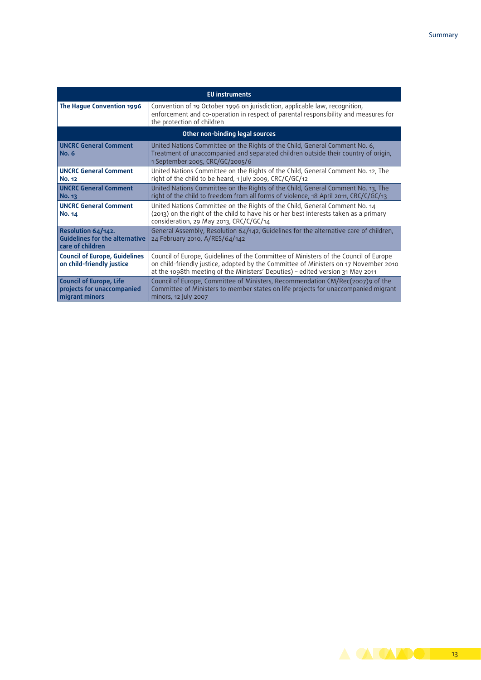| <b>EU</b> instruments                                                           |                                                                                                                                                                                                                                                                |  |
|---------------------------------------------------------------------------------|----------------------------------------------------------------------------------------------------------------------------------------------------------------------------------------------------------------------------------------------------------------|--|
| The Hague Convention 1996                                                       | Convention of 19 October 1996 on jurisdiction, applicable law, recognition,<br>enforcement and co-operation in respect of parental responsibility and measures for<br>the protection of children                                                               |  |
| Other non-binding legal sources                                                 |                                                                                                                                                                                                                                                                |  |
| <b>UNCRC General Comment</b><br><b>No. 6</b>                                    | United Nations Committee on the Rights of the Child, General Comment No. 6,<br>Treatment of unaccompanied and separated children outside their country of origin,<br>1 September 2005, CRC/GC/2005/6                                                           |  |
| <b>UNCRC General Comment</b><br><b>No. 12</b>                                   | United Nations Committee on the Rights of the Child, General Comment No. 12, The<br>right of the child to be heard, 1 July 2009, CRC/C/GC/12                                                                                                                   |  |
| <b>UNCRC General Comment</b><br><b>No. 13</b>                                   | United Nations Committee on the Rights of the Child, General Comment No. 13, The<br>right of the child to freedom from all forms of violence, 18 April 2011, CRC/C/GC/13                                                                                       |  |
| <b>UNCRC General Comment</b><br>No. 14                                          | United Nations Committee on the Rights of the Child, General Comment No. 14<br>(2013) on the right of the child to have his or her best interests taken as a primary<br>consideration, 29 May 2013, CRC/C/GC/14                                                |  |
| Resolution 64/142.<br><b>Guidelines for the alternative</b><br>care of children | General Assembly, Resolution 64/142, Guidelines for the alternative care of children,<br>24 February 2010, A/RES/64/142                                                                                                                                        |  |
| <b>Council of Europe, Guidelines</b><br>on child-friendly justice               | Council of Europe, Guidelines of the Committee of Ministers of the Council of Europe<br>on child-friendly justice, adopted by the Committee of Ministers on 17 November 2010<br>at the 1098th meeting of the Ministers' Deputies) - edited version 31 May 2011 |  |
| <b>Council of Europe, Life</b><br>projects for unaccompanied<br>migrant minors  | Council of Europe, Committee of Ministers, Recommendation CM/Rec(2007)9 of the<br>Committee of Ministers to member states on life projects for unaccompanied migrant<br>minors, 12 July 2007                                                                   |  |